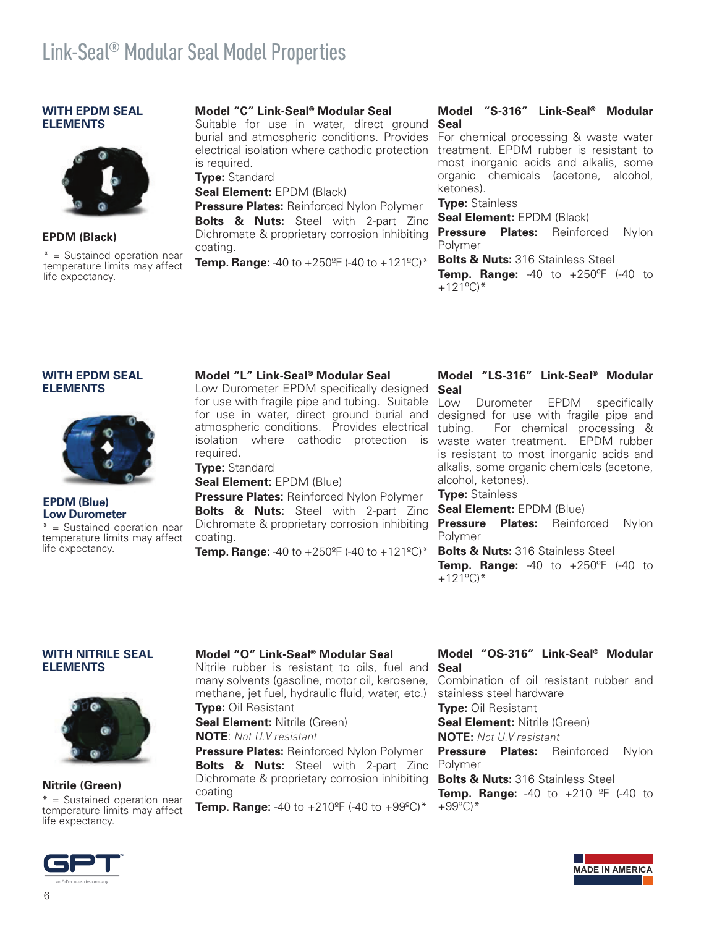#### **WITH EPDM SEAL ELEMENTS**



## **EPDM (Black)**

\* = Sustained operation near temperature limits may affect life expectancy.

## **Model "C" Link-Seal® Modular Seal**

Suitable for use in water, direct ground burial and atmospheric conditions. Provides electrical isolation where cathodic protection is required.

**Type:** Standard

**Seal Element:** EPDM (Black)

**Pressure Plates:** Reinforced Nylon Polymer **Bolts & Nuts:** Steel with 2-part Zinc Dichromate & proprietary corrosion inhibiting coating.

**Temp. Range:** -40 to  $+250^{\circ}$ F (-40 to  $+121^{\circ}$ C)\*

#### **Model "S-316" Link-Seal® Modular Seal**

For chemical processing & waste water treatment. EPDM rubber is resistant to most inorganic acids and alkalis, some organic chemicals (acetone, alcohol, ketones).

### **Type:** Stainless

**Seal Element:** EPDM (Black)

**Pressure Plates:** Reinforced Nylon Polymer

**Bolts & Nuts:** 316 Stainless Steel

**Temp. Range:** -40 to +250ºF (-40 to  $+121^{\circ}$ C)\*

#### **WITH EPDM SEAL ELEMENTS**



#### **EPDM (Blue) Low Durometer**

\* = Sustained operation near temperature limits may affect life expectancy.

#### **Model "L" Link-Seal® Modular Seal**

Low Durometer EPDM specifically designed for use with fragile pipe and tubing. Suitable for use in water, direct ground burial and atmospheric conditions. Provides electrical isolation where cathodic protection is required.

# **Type:** Standard

**Seal Element:** EPDM (Blue)

**Pressure Plates:** Reinforced Nylon Polymer **Bolts & Nuts:** Steel with 2-part Zinc Dichromate & proprietary corrosion inhibiting coating.

**Temp. Range:** -40 to  $+250^{\circ}$ F (-40 to  $+121^{\circ}$ C)\*

#### **Model "LS-316" Link-Seal® Modular Seal**

Low Durometer EPDM specifically designed for use with fragile pipe and tubing. For chemical processing & waste water treatment. EPDM rubber is resistant to most inorganic acids and alkalis, some organic chemicals (acetone, alcohol, ketones).

## **Type:** Stainless

**Seal Element:** EPDM (Blue)

**Pressure Plates:** Reinforced Nylon Polymer

**Bolts & Nuts:** 316 Stainless Steel **Temp. Range:** -40 to +250ºF (-40 to  $+121^{\circ}$ C)\*

#### **WITH NITRILE SEAL ELEMENTS**



## **Nitrile (Green)**

temperature limits may affect life expectancy.

**Model "O" Link-Seal® Modular Seal**

Nitrile rubber is resistant to oils, fuel and many solvents (gasoline, motor oil, kerosene, methane, jet fuel, hydraulic fluid, water, etc.) **Type:** Oil Resistant

**Seal Element: Nitrile (Green)** 

**NOTE**: *Not U.V resistant*

**Pressure Plates: Reinforced Nylon Polymer Bolts & Nuts:** Steel with 2-part Zinc Dichromate & proprietary corrosion inhibiting coating

\* = Sustained operation near<br>temperature limits may affect **Temp. Range:** -40 to +210<sup>o</sup>F (-40 to +99<sup>o</sup>C)\* +99<sup>o</sup>C)\*

## **Model "OS-316" Link-Seal® Modular Seal**

Combination of oil resistant rubber and stainless steel hardware **Type:** Oil Resistant **Seal Element: Nitrile (Green) NOTE:** *Not U.V resistant* **Pressure Plates:** Reinforced Nylon Polymer

**Bolts & Nuts: 316 Stainless Steel** 

**Temp. Range:** -40 to +210 ºF (-40 to

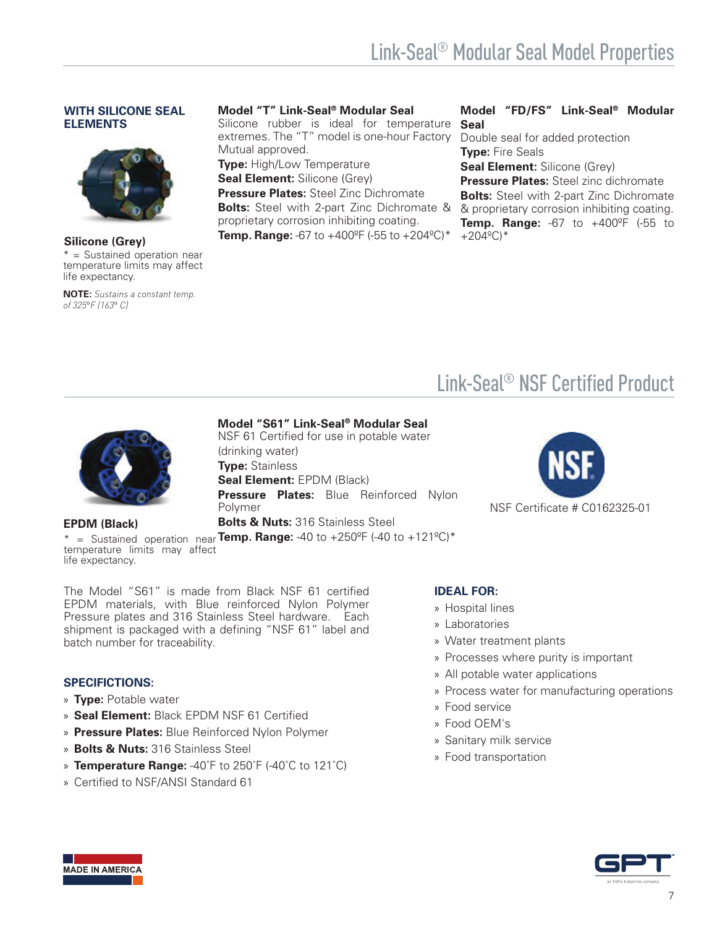# **WITH SILICONE SEAL ELEMENTS**



**Silicone (Grey)** \* = Sustained operation near temperature limits may affect life expectancy.

**NOTE:** *Sustains a constant temp. of 325*°*F (163*° *C)*

# **Model "T" Link-Seal® Modular Seal**

Silicone rubber is ideal for temperature extremes. The "T" model is one-hour Factory Mutual approved.

**Type:** High/Low Temperature

**Seal Element: Silicone (Grey) Pressure Plates:** Steel Zinc Dichromate

**Bolts:** Steel with 2-part Zinc Dichromate & proprietary corrosion inhibiting coating.

**Temp. Range:** -67 to +400°F (-55 to +204°C)\*

## **Model "FD/FS" Link-Seal® Modular Seal**

Double seal for added protection **Type:** Fire Seals

**Seal Element: Silicone (Grey)** 

**Pressure Plates:** Steel zinc dichromate **Bolts:** Steel with 2-part Zinc Dichromate & proprietary corrosion inhibiting coating. **Temp. Range:** -67 to +400°F (-55 to  $+204^{\circ}$ C)\*

# Link-Seal® NSF Certified Product



**EPDM (Black)**

**Model "S61" Link-Seal® Modular Seal**

NSF 61 Certified for use in potable water (drinking water) **Type:** Stainless **Seal Element:** EPDM (Black) **Pressure Plates:** Blue Reinforced Nylon Polymer **Bolts & Nuts: 316 Stainless Steel** 

\* = Sustained operation near **Temp. Range:** -40 to +250ºF (-40 to +121ºC)\* temperature limits may affect life expectancy.

NSF Certificate # C0162325-01

The Model "S61" is made from Black NSF 61 certified EPDM materials, with Blue reinforced Nylon Polymer Pressure plates and 316 Stainless Steel hardware. Each shipment is packaged with a defining "NSF 61" label and batch number for traceability.

# **SPECIFICTIONS:**

- » **Type:** Potable water
- » **Seal Element:** Black EPDM NSF 61 Certified
- » **Pressure Plates:** Blue Reinforced Nylon Polymer
- » **Bolts & Nuts:** 316 Stainless Steel
- » **Temperature Range:** -40˚F to 250˚F (-40˚C to 121˚C)
- » Certified to NSF/ANSI Standard 61



- » Hospital lines
- » Laboratories
- » Water treatment plants
- » Processes where purity is important
- » All potable water applications
- » Process water for manufacturing operations
- » Food service
- » Food OEM's
- » Sanitary milk service
- » Food transportation

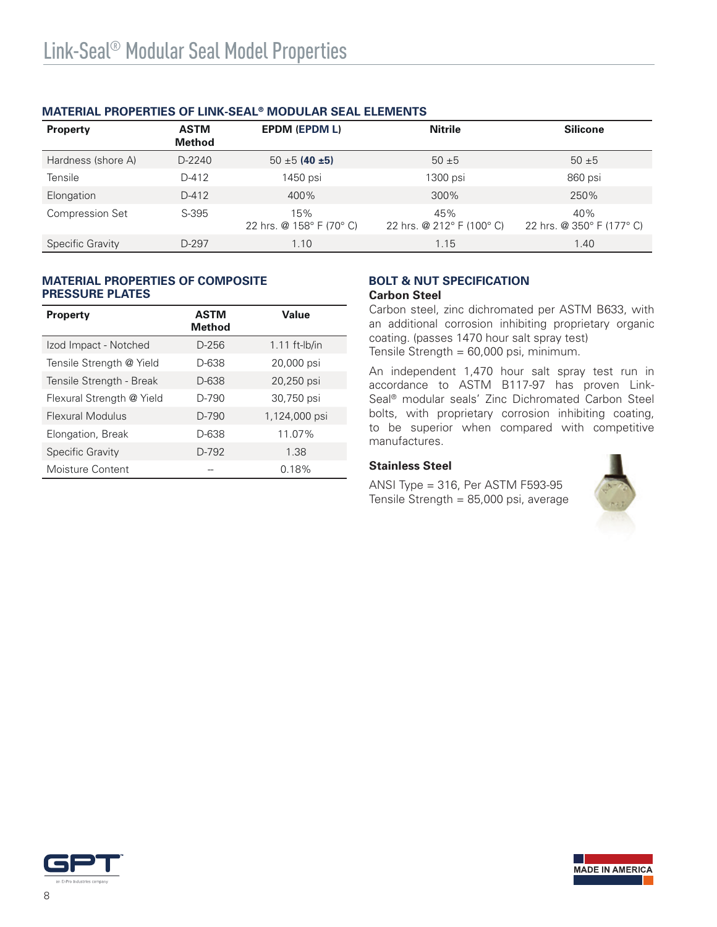| <b>Property</b>        | <b>ASTM</b><br><b>Method</b> | <b>EPDM (EPDM L)</b>            | <b>Nitrile</b>                   | <b>Silicone</b>                  |
|------------------------|------------------------------|---------------------------------|----------------------------------|----------------------------------|
| Hardness (shore A)     | $D-2240$                     | $50 \pm 5$ (40 ±5)              | $50 + 5$                         | $50 + 5$                         |
| Tensile                | D-412                        | 1450 psi                        | 1300 psi                         | 860 psi                          |
| Elongation             | $D-412$                      | 400%                            | 300%                             | 250%                             |
| <b>Compression Set</b> | S-395                        | 15%<br>22 hrs. @ 158° F (70° C) | 45%<br>22 hrs. @ 212° F (100° C) | 40%<br>22 hrs. @ 350° F (177° C) |
| Specific Gravity       | D-297                        | 1.10                            | 1.15                             | 1.40                             |

# **MATERIAL PROPERTIES OF LINK-SEAL® MODULAR SEAL ELEMENTS**

## **MATERIAL PROPERTIES OF COMPOSITE PRESSURE PLATES**

| <b>Property</b>           | <b>ASTM</b><br><b>Method</b> | Value           |
|---------------------------|------------------------------|-----------------|
| Izod Impact - Notched     | D-256                        | $1.11$ ft-lb/in |
| Tensile Strength @ Yield  | D-638                        | 20,000 psi      |
| Tensile Strength - Break  | D-638                        | 20,250 psi      |
| Flexural Strength @ Yield | D-790                        | 30,750 psi      |
| Flexural Modulus          | $D-790$                      | 1,124,000 psi   |
| Elongation, Break         | D-638                        | 11.07%          |
| <b>Specific Gravity</b>   | $D-792$                      | 1.38            |
| Moisture Content          |                              | 0.18%           |

#### **BOLT & NUT SPECIFICATION Carbon Steel**

Carbon steel, zinc dichromated per ASTM B633, with an additional corrosion inhibiting proprietary organic coating. (passes 1470 hour salt spray test) Tensile Strength = 60,000 psi, minimum.

An independent 1,470 hour salt spray test run in accordance to ASTM B117-97 has proven Link-Seal® modular seals' Zinc Dichromated Carbon Steel bolts, with proprietary corrosion inhibiting coating, to be superior when compared with competitive manufactures.

# **Stainless Steel**

ANSI Type = 316, Per ASTM F593-95 Tensile Strength = 85,000 psi, average



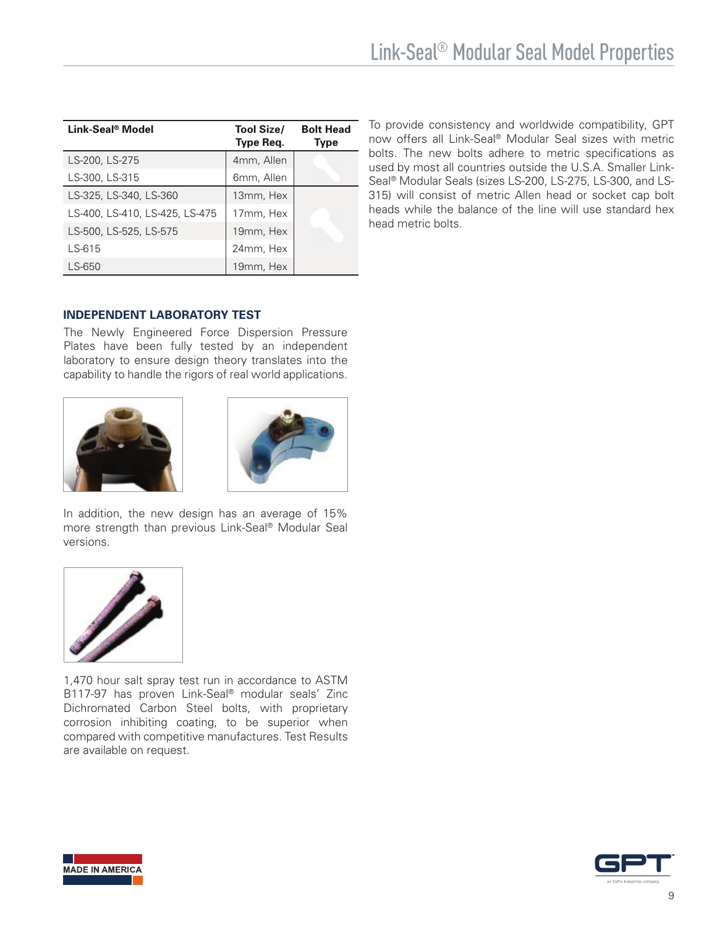| Link-Seal <sup>®</sup> Model   | <b>Tool Size/</b><br>Type Req. | <b>Bolt Head</b><br><b>Type</b> |
|--------------------------------|--------------------------------|---------------------------------|
| LS-200, LS-275                 | 4mm, Allen                     |                                 |
| LS-300, LS-315                 | 6mm, Allen                     |                                 |
| LS-325, LS-340, LS-360         | 13mm, Hex                      |                                 |
| LS-400, LS-410, LS-425, LS-475 | 17mm, Hex                      |                                 |
| LS-500, LS-525, LS-575         | 19mm, Hex                      |                                 |
| LS-615                         | 24mm, Hex                      |                                 |
| LS-650                         | 19mm, Hex                      |                                 |

To provide consistency and worldwide compatibility, GPT now offers all Link-Seal® Modular Seal sizes with metric bolts. The new bolts adhere to metric specifications as used by most all countries outside the U.S.A. Smaller Link-Seal® Modular Seals (sizes LS-200, LS-275, LS-300, and LS-315) will consist of metric Allen head or socket cap bolt heads while the balance of the line will use standard hex head metric bolts.

# **INDEPENDENT LABORATORY TEST**

The Newly Engineered Force Dispersion Pressure Plates have been fully tested by an independent laboratory to ensure design theory translates into the capability to handle the rigors of real world applications.





In addition, the new design has an average of 15% more strength than previous Link-Seal® Modular Seal versions.



1,470 hour salt spray test run in accordance to ASTM B117-97 has proven Link-Seal® modular seals' Zinc Dichromated Carbon Steel bolts, with proprietary corrosion inhibiting coating, to be superior when compared with competitive manufactures. Test Results are available on request.



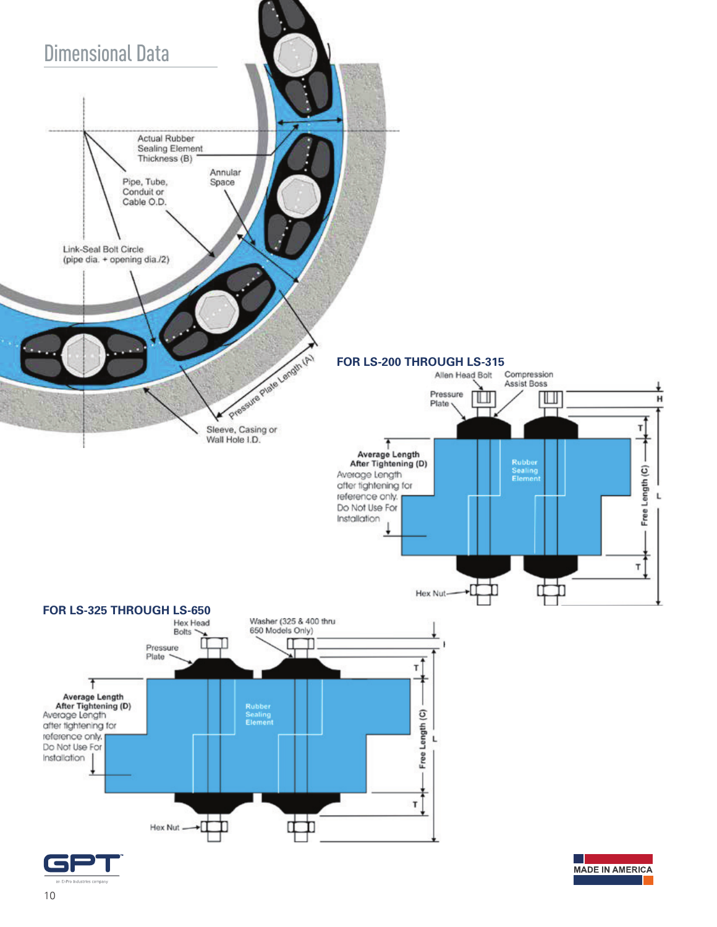